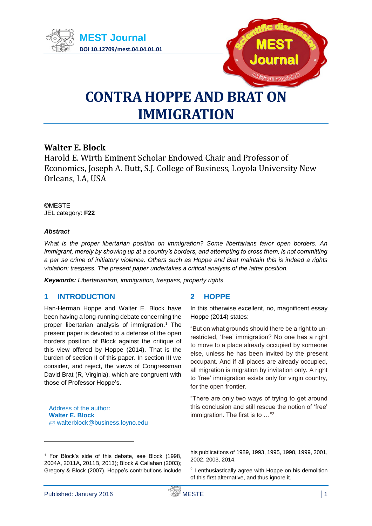



# **CONTRA HOPPE AND BRAT ON IMMIGRATION**

# **Walter E. Block**

Harold E. Wirth Eminent Scholar Endowed Chair and Professor of Economics, Joseph A. Butt, S.J. College of Business, Loyola University New Orleans, LA, USA

©MESTE JEL category: **F22**

## *Abstract*

*What is the proper libertarian position on immigration? Some libertarians favor open borders. An immigrant, merely by showing up at a country's borders, and attempting to cross them, is not committing a per se crime of initiatory violence. Others such as Hoppe and Brat maintain this is indeed a rights violation: trespass. The present paper undertakes a critical analysis of the latter position.*

*Keywords: Libertarianism, immigration, trespass, property rights*

# **1 INTRODUCTION**

Han-Herman Hoppe and Walter E. Block have been having a long-running debate concerning the proper libertarian analysis of immigration. $1$  The present paper is devoted to a defense of the open borders position of Block against the critique of this view offered by Hoppe (2014). That is the burden of section II of this paper. In section III we consider, and reject, the views of Congressman David Brat (R, Virginia), which are congruent with those of Professor Hoppe's.

Address of the author: **Walter E. Block** walterblock@business.loyno.edu

## **2 HOPPE**

In this otherwise excellent, no, magnificent essay Hoppe (2014) states:

"But on what grounds should there be a right to unrestricted, 'free' immigration? No one has a right to move to a place already occupied by someone else, unless he has been invited by the present occupant. And if all places are already occupied, all migration is migration by invitation only. A right to 'free' immigration exists only for virgin country, for the open frontier.

"There are only two ways of trying to get around this conclusion and still rescue the notion of 'free' immigration. The first is to ..."<sup>2</sup>

his publications of 1989, 1993, 1995, 1998, 1999, 2001, 2002, 2003, 2014.

<sup>2</sup> I enthusiastically agree with Hoppe on his demolition of this first alternative, and thus ignore it.

<sup>1</sup> For Block's side of this debate, see Block (1998, 2004A, 2011A, 2011B, 2013); Block & Callahan (2003); Gregory & Block (2007). Hoppe's contributions include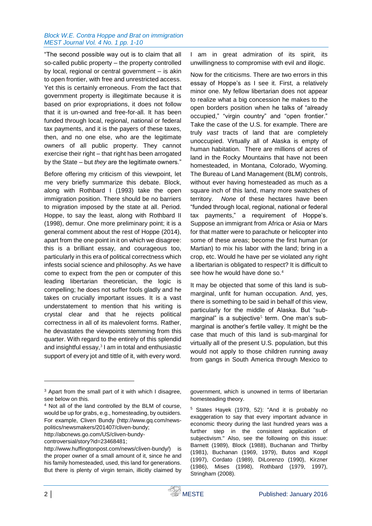#### *Block W.E. Contra Hoppe and Brat on immigration MEST Journal Vol. 4 No. 1 pp. 1-10*

"The second possible way out is to claim that all so-called public property – the property controlled by local, regional or central government – is akin to open frontier, with free and unrestricted access. Yet this is certainly erroneous. From the fact that government property is illegitimate because it is based on prior expropriations, it does not follow that it is un-owned and free-for-all. It has been funded through local, regional, national or federal tax payments, and it is the payers of these taxes, then, and no one else, who are the legitimate owners of all public property. They cannot exercise their right – that right has been arrogated by the State – but *they* are the legitimate owners."

Before offering my criticism of this viewpoint, let me very briefly summarize this debate. Block, along with Rothbard I (1993) take the open immigration position. There should be no barriers to migration imposed by the state at all. Period. Hoppe, to say the least, along with Rothbard II (1998), demur. One more preliminary point; it is a general comment about the rest of Hoppe (2014), apart from the one point in it on which we disagree: this is a brilliant essay, and courageous too, particularly in this era of political correctness which infests social science and philosophy. As we have come to expect from the pen or computer of this leading libertarian theoretician, the logic is compelling; he does not suffer fools gladly and he takes on crucially important issues. It is a vast understatement to mention that his writing is crystal clear and that he rejects political correctness in all of its malevolent forms. Rather, he devastates the viewpoints stemming from this quarter. With regard to the entirely of this splendid and insightful essay, $3$  I am in total and enthusiastic support of every jot and tittle of it, with every word.

I am in great admiration of its spirit, its unwillingness to compromise with evil and illogic.

Now for the criticisms. There are two errors in this essay of Hoppe's as I see it. First, a relatively minor one. My fellow libertarian does not appear to realize what a big concession he makes to the open borders position when he talks of "already occupied," "virgin country" and "open frontier." Take the case of the U.S. for example. There are truly *vast* tracts of land that are completely unoccupied. Virtually all of Alaska is empty of human habitation. There are millions of acres of land in the Rocky Mountains that have not been homesteaded, in Montana, Colorado, Wyoming. The Bureau of Land Management (BLM) controls, without ever having homesteaded as much as a square inch of this land, many more swatches of territory. *None* of these hectares have been "funded through local, regional, national or federal tax payments," a requirement of Hoppe's. Suppose an immigrant from Africa or Asia or Mars for that matter were to parachute or helicopter into some of these areas; become the first human (or Martian) to mix his labor with the land; bring in a crop, etc. Would he have per se violated any right a libertarian is obligated to respect? It is difficult to see how he would have done so.<sup>4</sup>

It may be objected that some of this land is submarginal, unfit for human occupation. And, yes, there is something to be said in behalf of this view, particularly for the middle of Alaska. But "submarginal" is a subjective<sup>5</sup> term. One man's submarginal is another's fertile valley. It might be the case that much of this land is sub-marginal for virtually all of the present U.S. population, but this would not apply to those children running away from gangs in South America through Mexico to

[http://abcnews.go.com/US/cliven-bundy-](http://abcnews.go.com/US/cliven-bundy-controversial/story?id=23468481)

government, which is unowned in terms of libertarian homesteading theory.

<sup>5</sup> States Hayek (1979, 52): "And it is probably no exaggeration to say that every important advance in economic theory during the last hundred years was a further step in the consistent application of subjectivism." Also, see the following on this issue: Barnett (1989), Block (1988), Buchanan and Thirlby (1981), Buchanan (1969, 1979), Butos and Koppl (1997), Cordato (1989), DiLorenzo (1990), Kirzner (1986), Mises (1998), Rothbard (1979, 1997), Stringham (2008).

<sup>&</sup>lt;sup>3</sup> Apart from the small part of it with which I disagree, see below on this.

<sup>4</sup> Not all of the land controlled by the BLM of course, would be up for grabs, e.g., homesteading, by outsiders. For example, Cliven Bundy [\(http://www.gq.com/news](http://www.gq.com/news-politics/newsmakers/201407/cliven-bundy)[politics/newsmakers/201407/cliven-bundy;](http://www.gq.com/news-politics/newsmakers/201407/cliven-bundy)

[controversial/story?id=23468481;](http://abcnews.go.com/US/cliven-bundy-controversial/story?id=23468481)

http://www.huffingtonpost.com/news/cliven-bundy/) is the proper owner of a small amount of it, since he and his family homesteaded, used, this land for generations. But there is plenty of virgin terrain, illicitly claimed by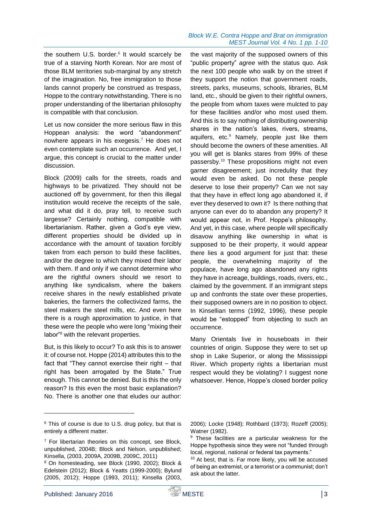#### *Block W.E. Contra Hoppe and Brat on immigration MEST Journal Vol. 4 No. 1 pp. 1-10*

the southern U.S. border.<sup>6</sup> It would scarcely be true of a starving North Korean. Nor are most of those BLM territories sub-marginal by any stretch of the imagination. No, free immigration to those lands cannot properly be construed as trespass, Hoppe to the contrary notwithstanding. There is no proper understanding of the libertarian philosophy is compatible with that conclusion.

Let us now consider the more serious flaw in this Hoppean analysis: the word "abandonment" nowhere appears in his exegesis.<sup>7</sup> He does not even contemplate such an occurrence. And yet, I argue, this concept is crucial to the matter under discussion.

Block (2009) calls for the streets, roads and highways to be privatized. They should not be auctioned off by government, for then this illegal institution would receive the receipts of the sale, and what did it do, pray tell, to receive such largesse? Certainly nothing, compatible with libertarianism. Rather, given a God's eye view, different properties should be divided up in accordance with the amount of taxation forcibly taken from each person to build these facilities, and/or the degree to which they mixed their labor with them. If and only if we cannot determine who are the rightful owners should we resort to anything like syndicalism, where the bakers receive shares in the newly established private bakeries, the farmers the collectivized farms, the steel makers the steel mills, etc. And even here there is a rough approximation to justice, in that these were the people who were long "mixing their labor"<sup>8</sup> with the relevant properties.

But, is this likely to occur? To ask this is to answer it: of course not. Hoppe (2014) attributes this to the fact that "They cannot exercise their right – that right has been arrogated by the State." True enough. This cannot be denied. But is this the only reason? Is this even the most basic explanation? No. There is another one that eludes our author:

the vast majority of the supposed owners of this "public property" *agree* with the status quo. Ask the next 100 people who walk by on the street if they support the notion that government roads, streets, parks, museums, schools, libraries, BLM land, etc., should be given to their rightful owners, the people from whom taxes were mulcted to pay for these facilities and/or who most used them. And this is to say nothing of distributing ownership shares in the nation's lakes, rivers, streams, aquifers, etc. $9$  Namely, people just like them should become the owners of these amenities. All you will get is blanks stares from 99% of these passersby.<sup>10</sup> These propositions might not even garner disagreement; just incredulity that they would even be asked. Do not these people deserve to lose their property? Can we not say that they have in effect long ago abandoned it, if ever they deserved to own it? Is there nothing that anyone can ever do to abandon any property? It would appear not, in Prof. Hoppe's philosophy. And yet, in this case, where people will specifically disavow anything like ownership in what is supposed to be their property, it would appear there lies a good argument for just that: these people, the overwhelming majority of the populace, have long ago abandoned any rights they have in acreage, buildings, roads, rivers, etc., claimed by the government. If an immigrant steps up and confronts the state over these properties, their supposed owners are in no position to object. In Kinsellian terms (1992, 1996), these people would be "estopped" from objecting to such an occurrence.

Many Orientals live in houseboats in their countries of origin. Suppose they were to set up shop in Lake Superior, or along the Mississippi River. Which property rights a libertarian must respect would they be violating? I suggest none whatsoever. Hence, Hoppe's closed border policy

 $6$  This of course is due to U.S. drug policy, but that is entirely a different matter.

 $7$  For libertarian theories on this concept, see Block, unpublished, 2004B; Block and Nelson, unpublished; Kinsella, (2003, 2009A, 2009B, 2009C, 2011)

<sup>8</sup> On homesteading, see Block (1990, 2002); Block & Edelstein (2012); Block & Yeatts (1999-2000); Bylund (2005, 2012); Hoppe (1993, 2011); Kinsella (2003,

<sup>2006);</sup> Locke (1948); Rothbard (1973); Rozeff (2005); Watner (1982).

<sup>&</sup>lt;sup>9</sup> These facilities are a particular weakness for the Hoppe hypothesis since they were not "funded through local, regional, national or federal tax payments."

<sup>10</sup> At best, that is. Far more likely, you will be accused of being an extremist, or a terrorist or a communist; don't ask about the latter.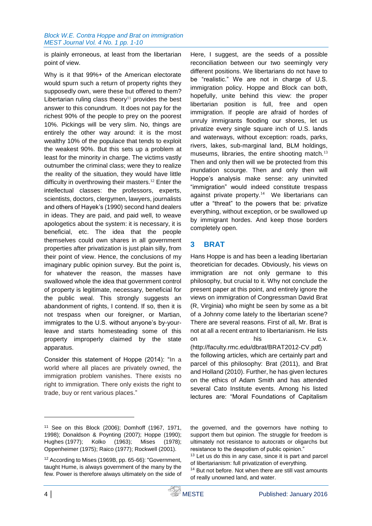#### *Block W.E. Contra Hoppe and Brat on immigration MEST Journal Vol. 4 No. 1 pp. 1-10*

is plainly erroneous, at least from the libertarian point of view.

Why is it that 99%+ of the American electorate would spurn such a return of property rights they supposedly own, were these but offered to them? Libertarian ruling class theory<sup>11</sup> provides the best answer to this conundrum. It does not pay for the richest 90% of the people to prey on the poorest 10%. Pickings will be very slim. No, things are entirely the other way around: it is the most wealthy 10% of the populace that tends to exploit the weakest 90%. But this sets up a problem at least for the minority in charge. The victims vastly outnumber the criminal class; were they to realize the reality of the situation, they would have little difficulty in overthrowing their masters.<sup>12</sup> Enter the intellectual classes: the professors, experts, scientists, doctors, clergymen, lawyers, journalists and others of Hayek's (1990) second hand dealers in ideas. They are paid, and paid well, to weave apologetics about the system: it is necessary, it is beneficial, etc. The idea that the people themselves could own shares in all government properties after privatization is just plain silly, from their point of view. Hence, the conclusions of my imaginary public opinion survey. But the point is, for whatever the reason, the masses have swallowed whole the idea that government control of property is legitimate, necessary, beneficial for the public weal. This strongly suggests an abandonment of rights, I contend. If so, then it is not trespass when our foreigner, or Martian, immigrates to the U.S. without anyone's by-yourleave and starts homesteading some of this property improperly claimed by the state apparatus.

Consider this statement of Hoppe (2014): "In a world where all places are privately owned, the immigration problem vanishes. There exists no right to immigration. There only exists the right to trade, buy or rent various places."

Here, I suggest, are the seeds of a possible reconciliation between our two seemingly very different positions. We libertarians do not have to be "realistic." We are not in charge of U.S. immigration policy. Hoppe and Block can both, hopefully, unite behind this view: the proper libertarian position is full, free and open immigration. If people are afraid of hordes of unruly immigrants flooding our shores, let us privatize every single square inch of U.S. lands and waterways, without exception: roads, parks, rivers, lakes, sub-marginal land, BLM holdings, museums, libraries, the entire shooting match.<sup>13</sup> Then and only then will we be protected from this inundation scourge. Then and only then will Hoppe's analysis make sense: any uninvited "immigration" would indeed constitute trespass against private property. $14$  We libertarians can utter a "threat" to the powers that be: privatize everything, without exception, or be swallowed up by immigrant hordes. And keep those borders completely open.

# **3 BRAT**

Hans Hoppe is and has been a leading libertarian theoretician for decades. Obviously, his views on immigration are not only germane to this philosophy, but crucial to it. Why not conclude the present paper at this point, and entirely ignore the views on immigration of Congressman David Brat (R, Virginia) who might be seen by some as a bit of a Johnny come lately to the libertarian scene? There are several reasons. First of all, Mr. Brat is not at all a recent entrant to libertarianism. He lists on his c.v.

[\(http://faculty.rmc.edu/dbrat/BRAT2012-CV.pdf\)](http://faculty.rmc.edu/dbrat/BRAT2012-CV.pdf) the following articles, which are certainly part and parcel of this philosophy: Brat (2011), and Brat and Holland (2010). Further, he has given lectures on the ethics of Adam Smith and has attended several Cato Institute events. Among his listed lectures are: "Moral Foundations of Capitalism

<sup>11</sup> See on this Block (2006); Domhoff (1967, 1971, 1998); Donaldson & Poynting (2007); Hoppe (1990); Hughes (1977); Kolko (1963); Mises (1978); Oppenheimer (1975); Raico (1977); Rockwell (2001).

<sup>12</sup> According to Mises (1969B, pp. 65-66): "Government, taught Hume, is always government of the many by the few. Power is therefore always ultimately on the side of

the governed, and the governors have nothing to support them but opinion. The struggle for freedom is ultimately not resistance to autocrats or oligarchs but resistance to the despotism of public opinion."

<sup>&</sup>lt;sup>13</sup> Let us do this in any case, since it is part and parcel of libertarianism: full privatization of everything.

<sup>&</sup>lt;sup>14</sup> But not before. Not when there are still vast amounts of really unowned land, and water.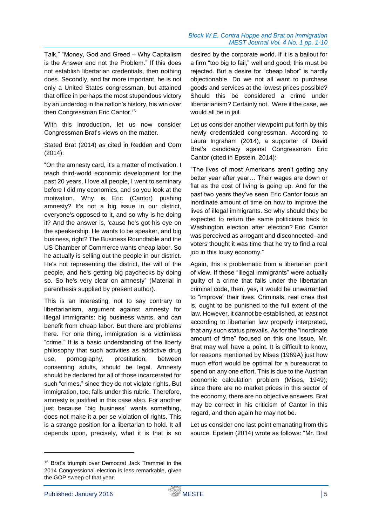#### *Block W.E. Contra Hoppe and Brat on immigration MEST Journal Vol. 4 No. 1 pp. 1-10*

Talk," "Money, God and Greed – Why Capitalism is the Answer and not the Problem." If this does not establish libertarian credentials, then nothing does. Secondly, and far more important, he is not only a United States congressman, but attained that office in perhaps the most stupendous victory by an underdog in the nation's history, his win over then Congressman Eric Cantor.<sup>15</sup>

With this introduction, let us now consider Congressman Brat's views on the matter.

Stated Brat (2014) as cited in Redden and Corn (2014):

"On the amnesty card, it's a matter of motivation. I teach third-world economic development for the past 20 years, I love all people, I went to seminary before I did my economics, and so you look at the motivation. Why is Eric (Cantor) pushing amnesty? It's not a big issue in our district, everyone's opposed to it, and so why is he doing it? And the answer is, 'cause he's got his eye on the speakership. He wants to be speaker, and big business, right? The Business Roundtable and the US Chamber of Commerce wants cheap labor. So he actually is selling out the people in our district. He's not representing the district, the will of the people, and he's getting big paychecks by doing so. So he's very clear on amnesty" (Material in parenthesis supplied by present author).

This is an interesting, not to say contrary to libertarianism, argument against amnesty for illegal immigrants: big business wants, and can benefit from cheap labor. But there are problems here. For one thing, immigration is a victimless "crime." It is a basic understanding of the liberty philosophy that such activities as addictive drug use, pornography, prostitution, between consenting adults, should be legal. Amnesty should be declared for all of those incarcerated for such "crimes," since they do not violate rights. But immigration, too, falls under this rubric. Therefore, amnesty is justified in this case also. For another just because "big business" wants something, does not make it a per se violation of rights. This is a strange position for a libertarian to hold. It all depends upon, precisely, what it is that is so

desired by the corporate world. If it is a bailout for a firm "too big to fail," well and good; this must be rejected. But a desire for "cheap labor" is hardly objectionable. Do we not all want to purchase goods and services at the lowest prices possible? Should this be considered a crime under libertarianism? Certainly not. Were it the case, we would all be in jail.

Let us consider another viewpoint put forth by this newly credentialed congressman. According to Laura Ingraham (2014), a supporter of David Brat's candidacy against Congressman Eric Cantor (cited in Epstein, 2014):

"The lives of most Americans aren't getting any better year after year… Their wages are down or flat as the cost of living is going up. And for the past two years they've seen Eric Cantor focus an inordinate amount of time on how to improve the lives of illegal immigrants. So why should they be expected to return the same politicians back to Washington election after election? Eric Cantor was perceived as arrogant and disconnected–and voters thought it was time that he try to find a real job in this lousy economy."

Again, this is problematic from a libertarian point of view. If these "illegal immigrants" were actually guilty of a crime that falls under the libertarian criminal code, then, yes, it would be unwarranted to "improve" their lives. Criminals, real ones that is, ought to be punished to the full extent of the law. However, it cannot be established, at least not according to libertarian law properly interpreted, that any such status prevails. As for the "inordinate amount of time" focused on this one issue, Mr. Brat may well have a point. It is difficult to know, for reasons mentioned by Mises (1969A) just how much effort would be optimal for a bureaucrat to spend on any one effort. This is due to the Austrian economic calculation problem (Mises, 1949); since there are no market prices in this sector of the economy, there are no objective answers. Brat may be correct in his criticism of Cantor in this regard, and then again he may not be.

Let us consider one last point emanating from this source. Epstein (2014) wrote as follows: "Mr. Brat

1

<sup>15</sup> Brat's triumph over Democrat Jack Trammel in the 2014 Congressional election is less remarkable, given the GOP sweep of that year.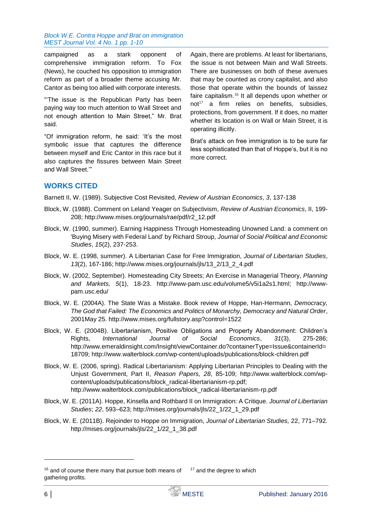campaigned as a stark opponent of comprehensive immigration reform. To Fox (News), he couched his opposition to immigration reform as part of a broader theme accusing Mr. Cantor as being too allied with corporate interests.

"'The issue is the Republican Party has been paying way too much attention to Wall Street and not enough attention to Main Street," Mr. Brat said.

"Of immigration reform, he said: 'It's the most symbolic issue that captures the difference between myself and Eric Cantor in this race but it also captures the fissures between Main Street and Wall Street.'"

Again, there are problems. At least for libertarians, the issue is not between Main and Wall Streets. There are businesses on both of these avenues that may be counted as crony capitalist, and also those that operate within the bounds of laissez faire capitalism.<sup>16</sup> It all depends upon whether or  $not<sup>17</sup>$  a firm relies on benefits, subsidies, protections, from government. If it does, no matter whether its location is on Wall or Main Street, it is operating illicitly.

Brat's attack on free immigration is to be sure far less sophisticated than that of Hoppe's, but it is no more correct.

# **WORKS CITED**

Barnett II, W. (1989). Subjective Cost Revisited, *Review of Austrian Economics*, *3*, 137-138

- Block, W. (1988). Comment on Leland Yeager on Subjectivism, *Review of Austrian Economics*, II, 199- 208; http://www.mises.org/journals/rae/pdf/r2\_12.pdf
- Block, W. (1990, summer). Earning Happiness Through Homesteading Unowned Land: a comment on 'Buying Misery with Federal Land' by Richard Stroup, *Journal of Social Political and Economic Studies*, *15*(2), 237-253.
- Block, W. E. (1998, summer). A Libertarian Case for Free Immigration, *Journal of Libertarian Studies*, *13*(2), 167-186; [http://www.mises.org/journals/jls/13\\_2/13\\_2\\_4.pdf](http://www.mises.org/journals/jls/13_2/13_2_4.pdf)
- Block, W. (2002, September). Homesteading City Streets; An Exercise in Managerial Theory, *Planning and Markets, 5*(1), 18-23. [http://www-pam.usc.edu/volume5/v5i1a2s1.html;](http://www-pam.usc.edu/volume5/v5i1a2s1.html) [http://www](http://www-pam.usc.edu/)[pam.usc.edu/](http://www-pam.usc.edu/)
- Block, W. E. (2004A). The State Was a Mistake. Book review of Hoppe, Han-Hermann, *Democracy, The God that Failed: The Economics and Politics of Monarchy, Democracy and Natural Order*, 2001May 25.<http://www.mises.org/fullstory.asp?control=1522>
- Block, W. E. (2004B). Libertarianism, Positive Obligations and Property Abandonment: Children's Rights, *International Journal of Social Economics*, *31*(3), 275-286; [http://www.emeraldinsight.com/Insight/viewContainer.do?containerType=Issue&containerId=](http://www.emeraldinsight.com/Insight/viewContainer.do?containerType=Issue&containerId=18709) [18709;](http://www.emeraldinsight.com/Insight/viewContainer.do?containerType=Issue&containerId=18709) [http://www.walterblock.com/wp-content/uploads/publications/block-children.pdf](http://141.164.133.3/exchweb/bin/redir.asp?URL=http://www.walterblock.com/wp-content/uploads/publications/block-children.pdf)
- Block, W. E. (2006, spring). Radical Libertarianism: Applying Libertarian Principles to Dealing with the Unjust Government, Part II, *Reason Papers, 28*, 85-109; [http://www.walterblock.com/wp](http://www.walterblock.com/wp-content/uploads/publications/block_radical-libertarianism-rp.pdf)[content/uploads/publications/block\\_radical-libertarianism-rp.pdf;](http://www.walterblock.com/wp-content/uploads/publications/block_radical-libertarianism-rp.pdf) [http://www.walterblock.com/publications/block\\_radical-libertarianism-rp.pdf](http://www.walterblock.com/publications/block_radical-libertarianism-rp.pdf)
- Block, W. E. (2011A). Hoppe, Kinsella and Rothbard II on Immigration: A Critique. *Journal of Libertarian Studies*; *22*, 593–623; [http://mises.org/journals/jls/22\\_1/22\\_1\\_29.pdf](http://mises.org/journals/jls/22_1/22_1_29.pdf)
- Block, W. E. (2011B). Rejoinder to Hoppe on Immigration, *Journal of Libertarian Studies,* 22, 771–792*.*  http://mises.org/journals/ils/22\_1/22\_1\_38.pdf

<sup>&</sup>lt;sup>16</sup> and of course there many that pursue both means of gathering profits. <sup>17</sup> and the degree to which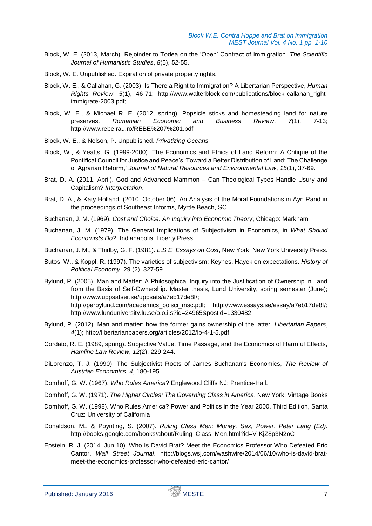- Block, W. E. (2013, March). Rejoinder to Todea on the 'Open' Contract of Immigration. *The Scientific Journal of Humanistic Studies*, *8*(5), 52-55.
- Block, W. E. Unpublished. Expiration of private property rights.
- Block, W. E., & Callahan, G. (2003). Is There a Right to Immigration? A Libertarian Perspective, *Human Rights Review*, *5*(1), 46-71; [http://www.walterblock.com/publications/block-callahan\\_right](http://www.walterblock.com/publications/block-callahan_right-immigrate-2003.pdf)[immigrate-2003.pdf;](http://www.walterblock.com/publications/block-callahan_right-immigrate-2003.pdf)
- Block, W. E., & Michael R. E. (2012, spring). Popsicle sticks and homesteading land for nature preserves. *Romanian Economic and Business Review*, *7*(1), 7-13; http://www.rebe.rau.ro/REBE%207%201.pdf
- Block, W. E., & Nelson, P. Unpublished. *Privatizing Oceans*
- Block, W., & Yeatts, G. (1999-2000). The Economics and Ethics of Land Reform: A Critique of the Pontifical Council for Justice and Peace's 'Toward a Better Distribution of Land: The Challenge of Agrarian Reform,' *Journal of Natural Resources and Environmental Law*, *15*(1), 37-69.
- Brat, D. A. (2011, April). God and Advanced Mammon Can Theological Types Handle Usury and Capitalism? *Interpretation*.
- Brat, D. A., & Katy Holland. (2010, October 06). An Analysis of the Moral Foundations in Ayn Rand in the proceedings of Southeast Informs, Myrtle Beach, SC.
- Buchanan, J. M. (1969). *Cost and Choice: An Inquiry into Economic Theory*, Chicago: Markham
- Buchanan, J. M. (1979). The General Implications of Subjectivism in Economics, in *What Should Economists Do?*, Indianapolis: Liberty Press
- Buchanan, J. M., & Thirlby, G. F. (1981). *L.S.E. Essays on Cost*, New York: New York University Press.
- Butos, W., & Koppl, R. (1997). The varieties of subjectivism: Keynes, Hayek on expectations. *History of Political Economy*, 29 (2), 327-59.
- Bylund, P. (2005). Man and Matter: A Philosophical Inquiry into the Justification of Ownership in Land from the Basis of Self-Ownership. Master thesis, Lund University, spring semester (June); [http://www.uppsatser.se/uppsats/a7eb17de8f/;](http://141.164.133.3/exchweb/bin/redir.asp?URL=http://www.uppsatser.se/uppsats/a7eb17de8f/) [http://perbylund.com/academics\\_polsci\\_msc.pdf;](http://perbylund.com/academics_polsci_msc.pdf) [http://www.essays.se/essay/a7eb17de8f/;](http://141.164.133.3/exchweb/bin/redir.asp?URL=http://www.essays.se/essay/a7eb17de8f/) http://www.lunduniversity.lu.se/o.o.i.s?id=24965&postid=1330482
- Bylund, P. (2012). Man and matter: how the former gains ownership of the latter. *Libertarian Papers*, *4*(1); http://libertarianpapers.org/articles/2012/lp-4-1-5.pdf
- Cordato, R. E. (1989, spring). Subjective Value, Time Passage, and the Economics of Harmful Effects, *Hamline Law Review*, *12*(2), 229-244.
- DiLorenzo, T. J. (1990). The Subjectivist Roots of James Buchanan's Economics, *The Review of Austrian Economics*, *4*, 180-195.
- Domhoff, G. W. (1967). *Who Rules America*? Englewood Cliffs NJ: Prentice-Hall.
- Domhoff, G. W. (1971). *The Higher Circles: The Governing Class in America*. New York: Vintage Books
- Domhoff, G. W. (1998). Who Rules America? Power and Politics in the Year 2000, Third Edition, Santa Cruz: University of California
- Donaldson, M., & Poynting, S. (2007). *Ruling Class Men: Money, Sex, Power*. *Peter Lang (Ed)*. [http://books.google.com/books/about/Ruling\\_Class\\_Men.html?id=V-KjZ8p3N2oC](http://books.google.com/books/about/Ruling_Class_Men.html?id=V-KjZ8p3N2oC)
- Epstein, R. J. (2014, Jun 10). Who Is David Brat? Meet the Economics Professor Who Defeated Eric Cantor. *Wall Street Journal*. [http://blogs.wsj.com/washwire/2014/06/10/who-is-david-brat](http://blogs.wsj.com/washwire/2014/06/10/who-is-david-brat-meet-the-economics-professor-who-defeated-eric-cantor/)[meet-the-economics-professor-who-defeated-eric-cantor/](http://blogs.wsj.com/washwire/2014/06/10/who-is-david-brat-meet-the-economics-professor-who-defeated-eric-cantor/)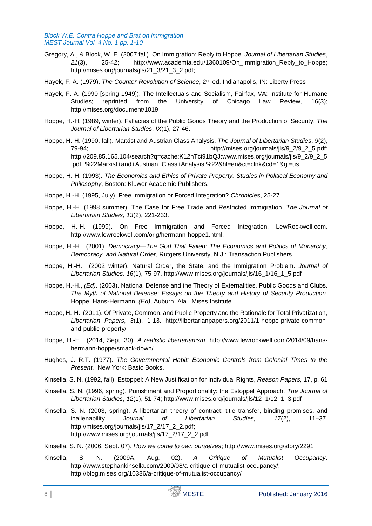- Gregory, A., & Block, W. E. (2007 fall). On Immigration: Reply to Hoppe. *Journal of Libertarian Studies*, *21*(3), 25-42; [http://www.academia.edu/1360109/On\\_Immigration\\_Reply\\_to\\_Hoppe;](http://www.academia.edu/1360109/On_Immigration_Reply_to_Hoppe) http://mises.org/journals/jls/21\_3/21\_3\_2.pdf;
- Hayek, F. A. (1979). *The Counter-Revolution of Science*, 2nd ed. Indianapolis, IN: Liberty Press
- Hayek, F. A. (1990 [spring 1949]). The Intellectuals and Socialism, Fairfax, VA: Institute for Humane Studies; reprinted from the University of Chicago Law Review, 16(3); http://mises.org/document/1019
- Hoppe, H.-H. (1989, winter). Fallacies of the Public Goods Theory and the Production of Security, *The Journal of Libertarian Studies*, *IX*(1), 27-46.
- Hoppe, H.-H. (1990, fall). Marxist and Austrian Class Analysis, *The Journal of Libertarian Studies*, *9*(2), 79-94; http://mises.org/journals/jls/9\_2/9\_2\_5.pdf; http://209.85.165.104/search?q=cache:K12nTci91bQJ:www.mises.org/journals/jls/9\_2/9\_2\_5 .pdf+%22Marxist+and+Austrian+Class+Analysis,%22&hl=en&ct=clnk&cd=1&gl=us
- Hoppe, H.-H. (1993). *The Economics and Ethics of Private Property. Studies in Political Economy and Philosophy*, Boston: Kluwer Academic Publishers.
- Hoppe, H.-H. (1995, July). Free Immigration or Forced Integration? *Chronicles*, 25-27.
- Hoppe, H.-H. (1998 summer). The Case for Free Trade and Restricted Immigration. *The Journal of Libertarian Studies, 13*(2), 221-233.
- Hoppe, H.-H. (1999). On Free Immigration and Forced Integration. LewRockwell.com. http://www.lewrockwell.com/orig/hermann-hoppe1.html.
- Hoppe, H.-H. (2001). *Democracy—The God That Failed: The Economics and Politics of Monarchy, Democracy, and Natural Order*, Rutgers University, N.J.: Transaction Publishers.
- Hoppe, H.-H. (2002 winter). Natural Order, the State, and the Immigration Problem. *Journal of Libertarian Studies, 16*(1), 75-97. http://www.mises.org/journals/jls/16\_1/16\_1\_5.pdf
- Hoppe, H.-H., *(Ed)*. (2003). National Defense and the Theory of Externalities, Public Goods and Clubs. *The Myth of National Defense: Essays on the Theory and History of Security Production*, Hoppe, Hans-Hermann, *(Ed)*, Auburn, Ala.: Mises Institute.
- Hoppe, H.-H. (2011). Of Private, Common, and Public Property and the Rationale for Total Privatization, *Libertarian Papers, 3*(1), 1-13. [http://libertarianpapers.org/2011/1-hoppe-private-common](http://libertarianpapers.org/2011/1-hoppe-private-common-and-public-property/)[and-public-property/](http://libertarianpapers.org/2011/1-hoppe-private-common-and-public-property/)
- Hoppe, H.-H. (2014, Sept. 30). *A realistic libertarianism*. [http://www.lewrockwell.com/2014/09/hans](http://www.lewrockwell.com/2014/09/hans-hermann-hoppe/smack-down/)[hermann-hoppe/smack-down/](http://www.lewrockwell.com/2014/09/hans-hermann-hoppe/smack-down/)
- Hughes, J. R.T. (1977). *The Governmental Habit: Economic Controls from Colonial Times to the Present*. New York: Basic Books,
- Kinsella, S. N. (1992, fall). Estoppel: A New Justification for Individual Rights, *Reason Papers,* 17, p. 61
- Kinsella, S. N. (1996, spring). Punishment and Proportionality: the Estoppel Approach, *The Journal of Libertarian Studies*, *12*(1), 51-74; http://www.mises.org/journals/jls/12\_1/12\_1\_3.pdf
- Kinsella, S. N. (2003, spring). A libertarian theory of contract: title transfer, binding promises, and inalienability *Journal of Libertarian Studies, 17*(2), 11–37. [http://mises.org/journals/jls/17\\_2/17\\_2\\_2.pdf;](http://mises.org/journals/jls/17_2/17_2_2.pdf) [http://www.mises.org/journals/jls/17\\_2/17\\_2\\_2.pdf](http://www.mises.org/journals/jls/17_2/17_2_2.pdf)
- Kinsella, S. N. (2006, Sept. 07). *How we come to own ourselves*; <http://www.mises.org/story/2291>
- Kinsella, S. N. (2009A, Aug. 02). *A Critique of Mutualist Occupancy*. [http://www.stephankinsella.com/2009/08/a-critique-of-mutualist-occupancy/;](http://www.stephankinsella.com/2009/08/a-critique-of-mutualist-occupancy/) [http://blog.mises.org/10386/a-critique-of-mutualist-occupancy/](http://141.164.133.3/exchweb/bin/redir.asp?URL=http://blog.mises.org/10386/a-critique-of-mutualist-occupancy/)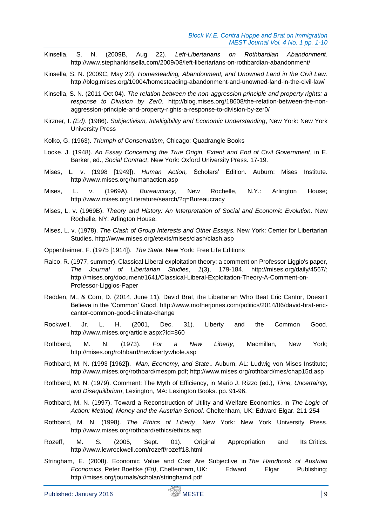- Kinsella, S. N. (2009B, Aug 22). *Left-Libertarians on Rothbardian Abandonment*. <http://www.stephankinsella.com/2009/08/left-libertarians-on-rothbardian-abandonment/>
- Kinsella, S. N. (2009C, May 22). *Homesteading, Abandonment, and Unowned Land in the Civil Law*. [http://blog.mises.org/10004/homesteading-abandonment-and-unowned-land-in-the-civil-law/](http://141.164.133.3/exchweb/bin/redir.asp?URL=http://blog.mises.org/10004/homesteading-abandonment-and-unowned-land-in-the-civil-law/)
- Kinsella, S. N. (2011 Oct 04). *The relation between the non-aggression principle and property rights: a response to Division by Zer0*. [http://blog.mises.org/18608/the-relation-between-the-non](http://141.164.133.3/exchweb/bin/redir.asp?URL=http://blog.mises.org/18608/the-relation-between-the-non-aggression-principle-and-property-rights-a-response-to-division-by-zer0/)[aggression-principle-and-property-rights-a-response-to-division-by-zer0/](http://141.164.133.3/exchweb/bin/redir.asp?URL=http://blog.mises.org/18608/the-relation-between-the-non-aggression-principle-and-property-rights-a-response-to-division-by-zer0/)
- Kirzner, I. *(Ed)*. (1986). *Subjectivism, Intelligibility and Economic Understanding*, New York: New York University Press
- Kolko, G. (1963). *Triumph of Conservatism*, Chicago: Quadrangle Books
- Locke, J. (1948). *An Essay Concerning the True Origin, Extent and End of Civil Government*, in E. Barker, ed., *Social Contract*, New York: Oxford University Press. 17-19.
- Mises, L. v. (1998 [1949]). *Human Action,* Scholars' Edition. Auburn: Mises Institute. <http://www.mises.org/humanaction.asp>
- Mises, L. v. (1969A). *Bureaucracy*, New Rochelle, N.Y.: Arlington House; <http://www.mises.org/Literature/search/?q=Bureaucracy>
- Mises, L. v. (1969B). *Theory and History: An Interpretation of Social and Economic Evolution*. New Rochelle, NY: Arlington House.
- Mises, L. v. (1978). *The Clash of Group Interests and Other Essays.* New York: Center for Libertarian Studies.<http://www.mises.org/etexts/mises/clash/clash.asp>
- Oppenheimer, F. (1975 [1914]). *The State.* New York: Free Life Editions
- Raico, R. (1977, summer). Classical Liberal exploitation theory: a comment on Professor Liggio's paper, *The Journal of Libertarian Studies*, *1*(3), 179-184. [http://mises.org/daily/4567/;](http://mises.org/daily/4567/) http://mises.org/document/1641/Classical-Liberal-Exploitation-Theory-A-Comment-on-Professor-Liggios-Paper
- Redden, M., & Corn, D. (2014, June 11). David Brat, the Libertarian Who Beat Eric Cantor, Doesn't Believe in the 'Common' Good. [http://www.motherjones.com/politics/2014/06/david-brat-eric](http://www.motherjones.com/politics/2014/06/david-brat-eric-cantor-common-good-climate-change)[cantor-common-good-climate-change](http://www.motherjones.com/politics/2014/06/david-brat-eric-cantor-common-good-climate-change)
- Rockwell, Jr. L. H. (2001, Dec. 31). Liberty and the Common Good. <http://www.mises.org/article.aspx?Id=860>
- Rothbard, M. N. (1973). *For a New Liberty*, Macmillan, New York; http://mises.org/rothbard/newlibertywhole.asp
- Rothbard, M. N. (1993 [1962]). *Man, Economy, and State*.. Auburn, AL: Ludwig von Mises Institute; [http://www.mises.org/rothbard/mespm.pdf;](http://www.mises.org/rothbard/mespm.pdf)<http://www.mises.org/rothbard/mes/chap15d.asp>
- Rothbard, M. N. (1979). Comment: The Myth of Efficiency, in Mario J. Rizzo (ed.), *Time, Uncertainty, and Disequilibrium*, Lexington, MA: Lexington Books. pp. 91-96.
- Rothbard, M. N. (1997). Toward a Reconstruction of Utility and Welfare Economics, in *The Logic of Action: Method, Money and the Austrian School.* Cheltenham, UK: Edward Elgar. 211-254
- Rothbard, M. N. (1998). *The Ethics of Liberty*, New York: New York University Press. <http://www.mises.org/rothbard/ethics/ethics.asp>
- Rozeff, M. S. (2005, Sept. 01). Original Appropriation and Its Critics. http://www.lewrockwell.com/rozeff/rozeff18.html
- Stringham, E. (2008). Economic Value and Cost Are Subjective in *The Handbook of Austrian Economics,* Peter Boettke *(Ed)*, Cheltenham, UK: Edward Elgar Publishing; [http://mises.org/journals/scholar/stringham4.pdf](http://141.164.133.3/exchweb/bin/redir.asp?URL=http://mises.org/journals/scholar/stringham4.pdf)